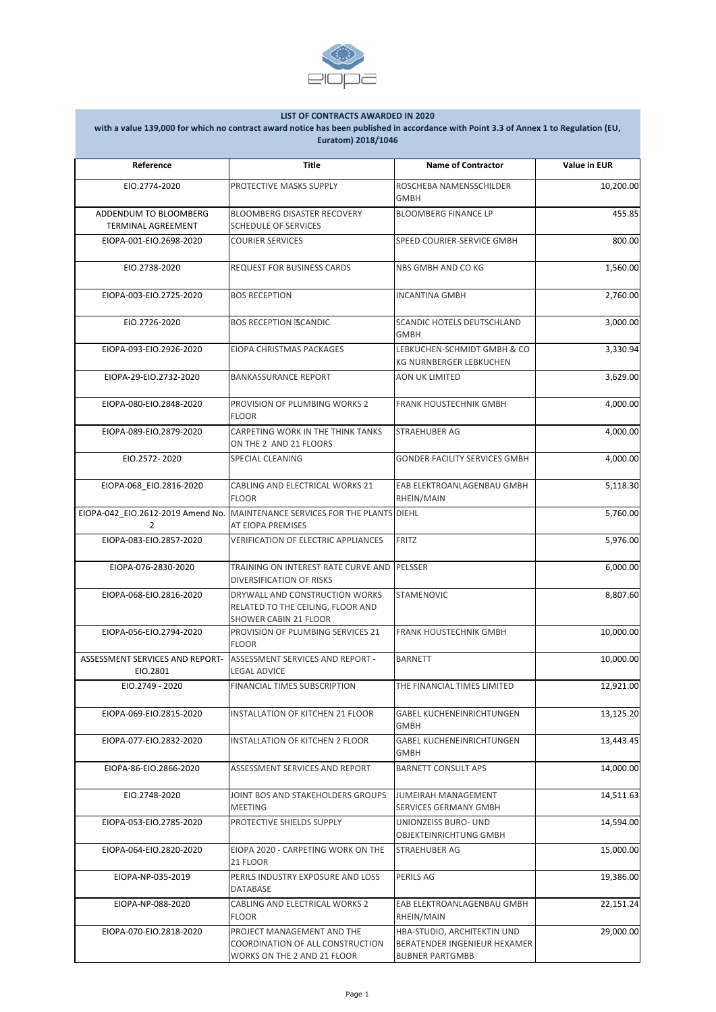| Reference                                          | <b>Title</b>                                                                                        | <b>Name of Contractor</b>                                                                    | <b>Value in EUR</b> |
|----------------------------------------------------|-----------------------------------------------------------------------------------------------------|----------------------------------------------------------------------------------------------|---------------------|
| EIO.2774-2020                                      | PROTECTIVE MASKS SUPPLY                                                                             | ROSCHEBA NAMENSSCHILDER<br><b>GMBH</b>                                                       | 10,200.00           |
| ADDENDUM TO BLOOMBERG<br><b>TERMINAL AGREEMENT</b> | <b>BLOOMBERG DISASTER RECOVERY</b><br><b>SCHEDULE OF SERVICES</b>                                   | <b>BLOOMBERG FINANCE LP</b>                                                                  | 455.85              |
| EIOPA-001-EIO.2698-2020                            | <b>COURIER SERVICES</b>                                                                             | SPEED COURIER-SERVICE GMBH                                                                   | 800.00              |
| EIO.2738-2020                                      | <b>REQUEST FOR BUSINESS CARDS</b>                                                                   | NBS GMBH AND CO KG                                                                           | 1,560.00            |
| EIOPA-003-EIO.2725-2020                            | <b>BOS RECEPTION</b>                                                                                | <b>INCANTINA GMBH</b>                                                                        | 2,760.00            |
| EIO.2726-2020                                      | <b>BOS RECEPTION -SCANDIC</b>                                                                       | SCANDIC HOTELS DEUTSCHLAND<br><b>GMBH</b>                                                    | 3,000.00            |
| EIOPA-093-EIO.2926-2020                            | EIOPA CHRISTMAS PACKAGES                                                                            | LEBKUCHEN-SCHMIDT GMBH & CO<br><b>KG NURNBERGER LEBKUCHEN</b>                                | 3,330.94            |
| EIOPA-29-EIO.2732-2020                             | <b>BANKASSURANCE REPORT</b>                                                                         | <b>AON UK LIMITED</b>                                                                        | 3,629.00            |
| EIOPA-080-EIO.2848-2020                            | PROVISION OF PLUMBING WORKS 2<br><b>FLOOR</b>                                                       | <b>FRANK HOUSTECHNIK GMBH</b>                                                                | 4,000.00            |
| EIOPA-089-EIO.2879-2020                            | CARPETING WORK IN THE THINK TANKS<br>ON THE 2 AND 21 FLOORS                                         | <b>STRAEHUBER AG</b>                                                                         | 4,000.00            |
| EIO.2572-2020                                      | SPECIAL CLEANING                                                                                    | <b>GONDER FACILITY SERVICES GMBH</b>                                                         | 4,000.00            |
| EIOPA-068_EIO.2816-2020                            | CABLING AND ELECTRICAL WORKS 21<br><b>FLOOR</b>                                                     | EAB ELEKTROANLAGENBAU GMBH<br>RHEIN/MAIN                                                     | 5,118.30            |
| 2                                                  | EIOPA-042_EIO.2612-2019 Amend No. MAINTENANCE SERVICES FOR THE PLANTS DIEHL<br>AT EIOPA PREMISES    |                                                                                              | 5,760.00            |
| EIOPA-083-EIO.2857-2020                            | <b>VERIFICATION OF ELECTRIC APPLIANCES</b>                                                          | <b>FRITZ</b>                                                                                 | 5,976.00            |
| EIOPA-076-2830-2020                                | TRAINING ON INTEREST RATE CURVE AND PELSSER<br><b>DIVERSIFICATION OF RISKS</b>                      |                                                                                              | 6,000.00            |
| EIOPA-068-EIO.2816-2020                            | DRYWALL AND CONSTRUCTION WORKS<br>RELATED TO THE CEILING, FLOOR AND<br><b>SHOWER CABIN 21 FLOOR</b> | <b>STAMENOVIC</b>                                                                            | 8,807.60            |
| EIOPA-056-EIO.2794-2020                            | PROVISION OF PLUMBING SERVICES 21<br><b>FLOOR</b>                                                   | <b>FRANK HOUSTECHNIK GMBH</b>                                                                | 10,000.00           |
| ASSESSMENT SERVICES AND REPORT-<br>EIO.2801        | <b>ASSESSMENT SERVICES AND REPORT -</b><br><b>LEGAL ADVICE</b>                                      | <b>BARNETT</b>                                                                               | 10,000.00           |
| EIO.2749 - 2020                                    | FINANCIAL TIMES SUBSCRIPTION                                                                        | THE FINANCIAL TIMES LIMITED                                                                  | 12,921.00           |
| EIOPA-069-EIO.2815-2020                            | <b>INSTALLATION OF KITCHEN 21 FLOOR</b>                                                             | <b>GABEL KUCHENEINRICHTUNGEN</b><br><b>GMBH</b>                                              | 13,125.20           |
| EIOPA-077-EIO.2832-2020                            | INSTALLATION OF KITCHEN 2 FLOOR                                                                     | <b>GABEL KUCHENEINRICHTUNGEN</b><br><b>GMBH</b>                                              | 13,443.45           |
| EIOPA-86-EIO.2866-2020                             | ASSESSMENT SERVICES AND REPORT                                                                      | <b>BARNETT CONSULT APS</b>                                                                   | 14,000.00           |
| EIO.2748-2020                                      | JOINT BOS AND STAKEHOLDERS GROUPS<br><b>MEETING</b>                                                 | JUMEIRAH MANAGEMENT<br><b>SERVICES GERMANY GMBH</b>                                          | 14,511.63           |
| EIOPA-053-EIO.2785-2020                            | PROTECTIVE SHIELDS SUPPLY                                                                           | UNIONZEISS BURO- UND<br>OBJEKTEINRICHTUNG GMBH                                               | 14,594.00           |
| EIOPA-064-EIO.2820-2020                            | EIOPA 2020 - CARPETING WORK ON THE<br>21 FLOOR                                                      | <b>STRAEHUBER AG</b>                                                                         | 15,000.00           |
| EIOPA-NP-035-2019                                  | PERILS INDUSTRY EXPOSURE AND LOSS<br><b>DATABASE</b>                                                | <b>PERILS AG</b>                                                                             | 19,386.00           |
| EIOPA-NP-088-2020                                  | <b>CABLING AND ELECTRICAL WORKS 2</b><br><b>FLOOR</b>                                               | EAB ELEKTROANLAGENBAU GMBH<br>RHEIN/MAIN                                                     | 22,151.24           |
| EIOPA-070-EIO.2818-2020                            | PROJECT MANAGEMENT AND THE<br>COORDINATION OF ALL CONSTRUCTION<br>WORKS ON THE 2 AND 21 FLOOR       | HBA-STUDIO, ARCHITEKTIN UND<br><b>BERATENDER INGENIEUR HEXAMER</b><br><b>BUBNER PARTGMBB</b> | 29,000.00           |



## **LIST OF CONTRACTS AWARDED IN 2020**

**with a value 139,000 for which no contract award notice has been published in accordance with Point 3.3 of Annex 1 to Regulation (EU, Euratom) 2018/1046**